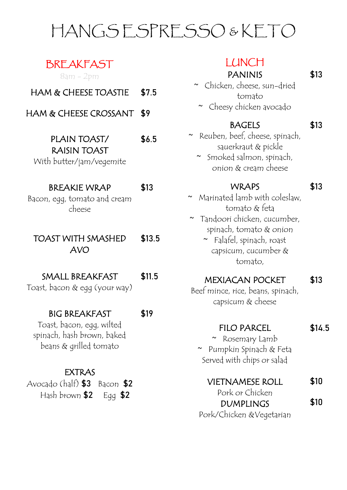## **BREAKFAST**

8am - 2pm

- HAM & CHEESE TOASTIE \$7.5
- HAM & CHEESE CROSSANT \$9

#### PLAIN TOAST/ RAISIN TOAST \$6.5

With butter/jam/vegemite

### BREAKIE WRAP \$13

Bacon, egg, tomato and cream cheese

#### TOAST WITH SMASHED AVO \$13.5

### SMALL BREAKFAST \$11.5

Toast, bacon & egg (your way)

### BIG BREAKFAST \$19

Toast, bacon, egg, wilted spinach, hash brown, baked beans & grilled tomato

### EXTRAS

| Avocado $(haff)$ \$3 Bacon \$2 |  |
|--------------------------------|--|
| Hash brown \$2 Egg \$2         |  |

### LUNCH

### PANINIS \$13

- ~ Chicken, cheese, sun-dried tomato
	- ~ Cheesy chicken avocado

### BAGELS \$13

- ~ Reuben, beef, cheese, spinach, sauerkraut & pickle
	- ~ Smoked salmon, spinach, onion & cream cheese

### WRAPS \$13

- ~ Marinated lamb with coleslaw, tomato & feta
- ~ Tandoori chicken, cucumber, spinach, tomato & onion
	- ~ Falafel, spinach, roast capsicum, cucumber & tomato,

### MEXIACAN POCKET \$13

Beef mince, rice, beans, spinach, capsicum & cheese

### FILO PARCEL \$14.5

~ Rosemary Lamb ~ Pumpkin Spinach & Feta Served with chips or salad

#### VIETNAMESE ROLL \$10

Pork or Chicken DUMPLINGS Pork/Chicken &Vegetarian

\$10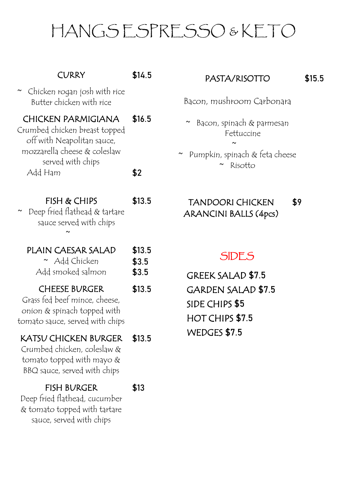| CURRY                                                                                                                                         | \$14.5                   |
|-----------------------------------------------------------------------------------------------------------------------------------------------|--------------------------|
| $\sim$ Chicken rogan josh with rice<br>Butter chicken with rice                                                                               | B                        |
| <b>CHICKEN PARMIGIANA</b><br>Crumbed chicken breast topped<br>off with Neapolitan sauce,<br>mozzarella cheese & coleslaw<br>served with chips | \$16.5                   |
| Add Ham                                                                                                                                       | \$2                      |
| FISH & CHIPS<br>Deep fried flathead & tartare<br>sauce served with chips                                                                      | \$13.5                   |
| PLAIN CAESAR SALAD<br>$~\sim~$ Add Chicken<br>Add smoked salmon                                                                               | \$13.5<br>\$3.5<br>\$3.5 |
| <b>CHEESE BURGER</b><br>Grass fed beef mince, cheese,<br>onion $\&$ spinach topped with                                                       | \$13.5                   |
| tomato sauce, served with chips                                                                                                               |                          |
| KATSU CHICKEN BURGER<br>Crumbed chicken, coleslaw &<br>tomato topped with mayo $\&$<br>BBQ sauce, served with chips                           | \$13.5                   |

#### PASTA/RISOTTO \$15.5

~ Bacon, spinach & parmesan **Fettuccine** 

 $\sim$ 

Pumpkin, spinach & feta cheese ~ Risotto

#### TANDOORI CHICKEN ARANCINI BALLS (4pcs) \$9.5

### SIDES

 SIDE CHIPS \$5 HOT CHIPS \$7.5 WEDGES \$7.5 GREEK SALAD \$7.5 GARDEN SALAD \$7.5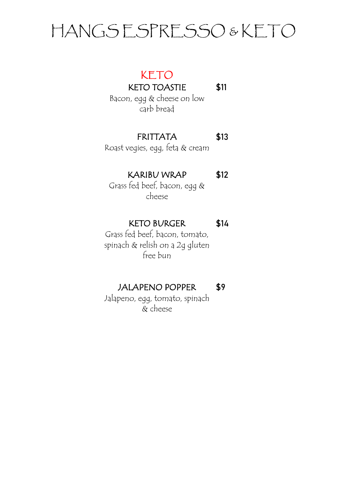## KETO

KETO TOASTIE \$11

Bacon, egg & cheese on low carb bread

### FRITTATA \$13

Roast vegies, egg, feta & cream

### KARIBU WRAP \$12

Grass fed beef, bacon, egg & cheese

### KETO BURGER \$14

Grass fed beef, bacon, tomato, spinach & relish on a 2g gluten free bun

## JALAPENO POPPER \$9

Jalapeno, egg, tomato, spinach & cheese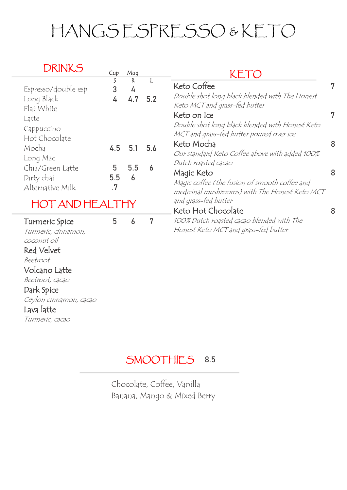| Cup            | Mug                      |                        | KET                                                                                                                                                         |
|----------------|--------------------------|------------------------|-------------------------------------------------------------------------------------------------------------------------------------------------------------|
| S<br>3<br>4    | $\mathsf{R}$<br>4<br>4.7 | L<br>5.2               | Keto Coffee<br>Double shot long black blended with The Honest<br>Keto MCT and grass-fed butter                                                              |
|                |                          |                        | Keto on Ice<br>Double shot long black blended with Honest Keto<br>MCT and grass-fed butter poured over ice                                                  |
| 4.5            | 5.1                      | 5.6                    | Keto Mocha<br>Our standard Keto Coffee above with added 100%                                                                                                |
| 5<br>5.5<br>.7 | 5.5<br>6                 | 6                      | Dutch roasted cacao<br>Magic Keto<br>Magic coffee (the fusion of smooth coffee and<br>medicinal mushrooms) with The Honest Keto MCT<br>and grass-fed butter |
|                |                          |                        | Keto Hot Chocolate                                                                                                                                          |
| 5              | 6                        | 7                      | 100% Dutch roasted cacao blended with The<br>Honest Keto MCT and grass-fed butter                                                                           |
|                |                          | <b>HOT AND HEALTHY</b> |                                                                                                                                                             |

## SMOOTHIES 8.5

Chocolate, Coffee, Vanilla Banana, Mango & Mixed Berry

Lava latte

Turmeric, cacao